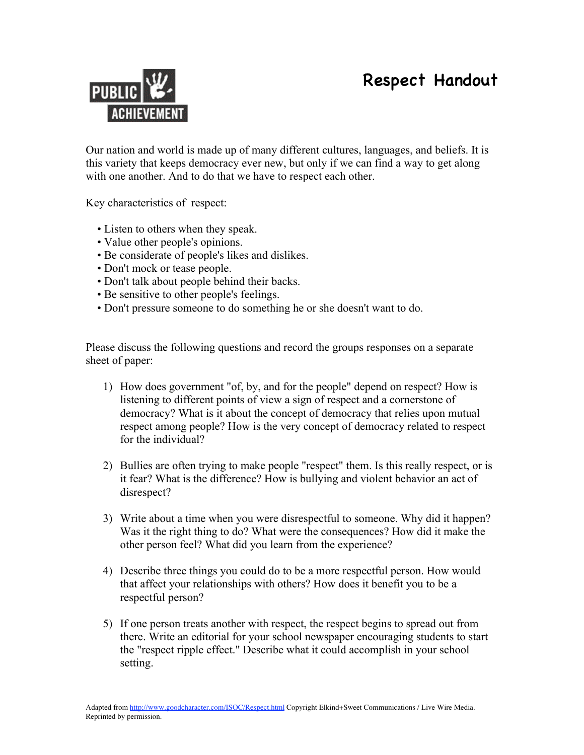## Respect Handout



Our nation and world is made up of many different cultures, languages, and beliefs. It is this variety that keeps democracy ever new, but only if we can find a way to get along with one another. And to do that we have to respect each other.

Key characteristics of respect:

- Listen to others when they speak.
- Value other people's opinions.
- Be considerate of people's likes and dislikes.
- Don't mock or tease people.
- Don't talk about people behind their backs.
- Be sensitive to other people's feelings.
- Don't pressure someone to do something he or she doesn't want to do.

Please discuss the following questions and record the groups responses on a separate sheet of paper:

- 1) How does government "of, by, and for the people" depend on respect? How is listening to different points of view a sign of respect and a cornerstone of democracy? What is it about the concept of democracy that relies upon mutual respect among people? How is the very concept of democracy related to respect for the individual?
- 2) Bullies are often trying to make people "respect" them. Is this really respect, or is it fear? What is the difference? How is bullying and violent behavior an act of disrespect?
- 3) Write about a time when you were disrespectful to someone. Why did it happen? Was it the right thing to do? What were the consequences? How did it make the other person feel? What did you learn from the experience?
- 4) Describe three things you could do to be a more respectful person. How would that affect your relationships with others? How does it benefit you to be a respectful person?
- 5) If one person treats another with respect, the respect begins to spread out from there. Write an editorial for your school newspaper encouraging students to start the "respect ripple effect." Describe what it could accomplish in your school setting.